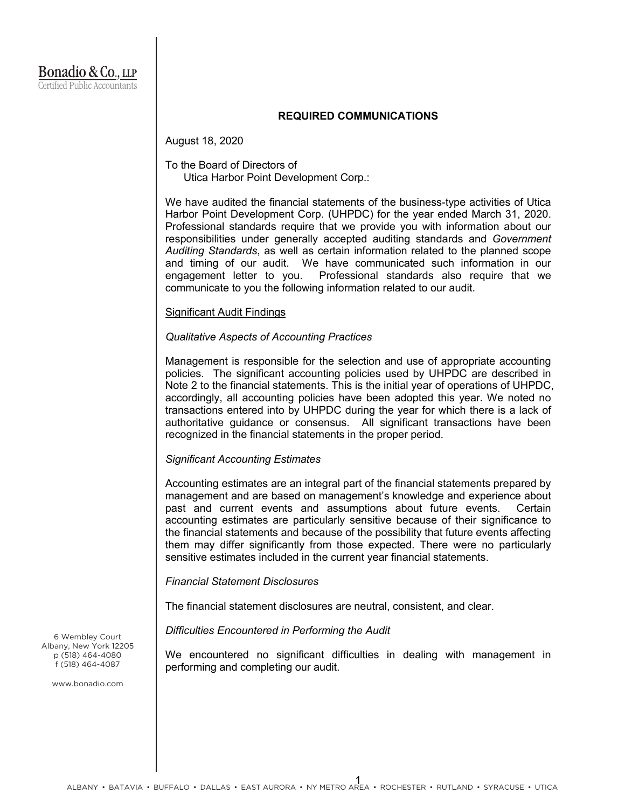## **REQUIRED COMMUNICATIONS**

August 18, 2020

# To the Board of Directors of Utica Harbor Point Development Corp.:

We have audited the financial statements of the business-type activities of Utica Harbor Point Development Corp. (UHPDC) for the year ended March 31, 2020. Professional standards require that we provide you with information about our responsibilities under generally accepted auditing standards and *Government Auditing Standards*, as well as certain information related to the planned scope and timing of our audit. We have communicated such information in our engagement letter to you. Professional standards also require that we communicate to you the following information related to our audit.

### Significant Audit Findings

## *Qualitative Aspects of Accounting Practices*

Management is responsible for the selection and use of appropriate accounting policies. The significant accounting policies used by UHPDC are described in Note 2 to the financial statements. This is the initial year of operations of UHPDC, accordingly, all accounting policies have been adopted this year. We noted no transactions entered into by UHPDC during the year for which there is a lack of authoritative guidance or consensus. All significant transactions have been recognized in the financial statements in the proper period.

### *Significant Accounting Estimates*

Accounting estimates are an integral part of the financial statements prepared by management and are based on management's knowledge and experience about past and current events and assumptions about future events. Certain accounting estimates are particularly sensitive because of their significance to the financial statements and because of the possibility that future events affecting them may differ significantly from those expected. There were no particularly sensitive estimates included in the current year financial statements.

### *Financial Statement Disclosures*

The financial statement disclosures are neutral, consistent, and clear.

*Difficulties Encountered in Performing the Audit*

We encountered no significant difficulties in dealing with management in performing and completing our audit.

6 Wembley Court Albany, New York 12205 p (518) 464-4080 f (518) 464-4087

www.bonadio.com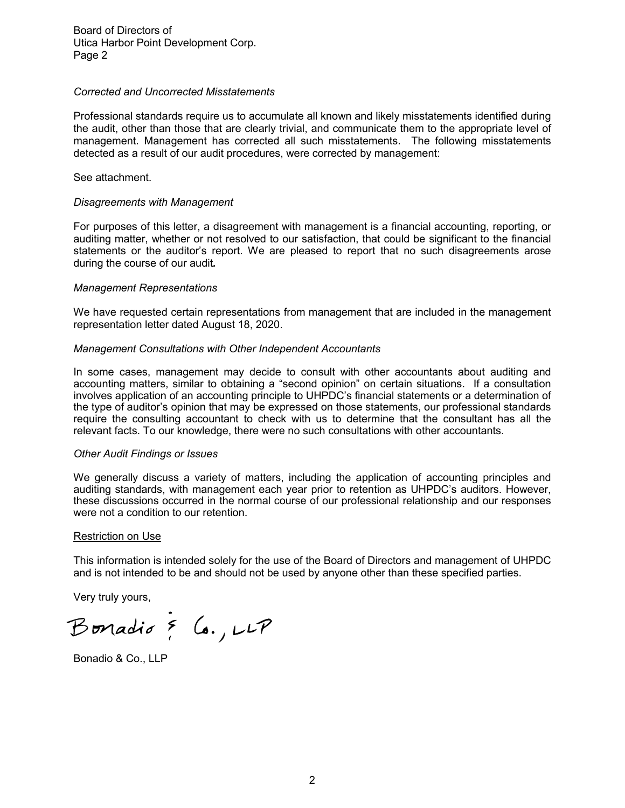Board of Directors of Utica Harbor Point Development Corp. Page 2

## *Corrected and Uncorrected Misstatements*

Professional standards require us to accumulate all known and likely misstatements identified during the audit, other than those that are clearly trivial, and communicate them to the appropriate level of management. Management has corrected all such misstatements. The following misstatements detected as a result of our audit procedures, were corrected by management:

See attachment.

## *Disagreements with Management*

For purposes of this letter, a disagreement with management is a financial accounting, reporting, or auditing matter, whether or not resolved to our satisfaction, that could be significant to the financial statements or the auditor's report. We are pleased to report that no such disagreements arose during the course of our audit*.*

## *Management Representations*

We have requested certain representations from management that are included in the management representation letter dated August 18, 2020.

## *Management Consultations with Other Independent Accountants*

In some cases, management may decide to consult with other accountants about auditing and accounting matters, similar to obtaining a "second opinion" on certain situations. If a consultation involves application of an accounting principle to UHPDC's financial statements or a determination of the type of auditor's opinion that may be expressed on those statements, our professional standards require the consulting accountant to check with us to determine that the consultant has all the relevant facts. To our knowledge, there were no such consultations with other accountants.

### *Other Audit Findings or Issues*

We generally discuss a variety of matters, including the application of accounting principles and auditing standards, with management each year prior to retention as UHPDC's auditors. However, these discussions occurred in the normal course of our professional relationship and our responses were not a condition to our retention.

### Restriction on Use

This information is intended solely for the use of the Board of Directors and management of UHPDC and is not intended to be and should not be used by anyone other than these specified parties.

Very truly yours,

Bonadio & Co., LLP

Bonadio & Co., LLP